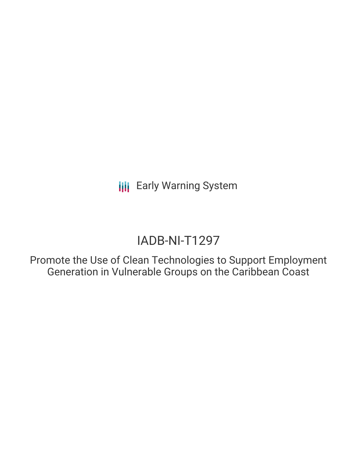**III** Early Warning System

# IADB-NI-T1297

Promote the Use of Clean Technologies to Support Employment Generation in Vulnerable Groups on the Caribbean Coast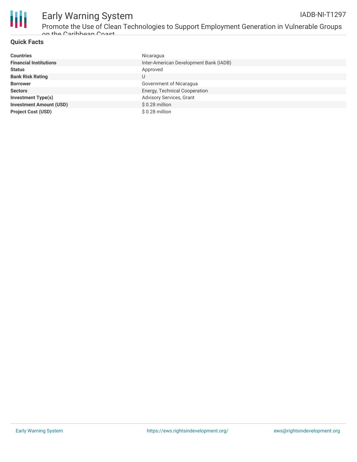

## **Quick Facts**

| <b>Countries</b>               | Nicaragua                              |
|--------------------------------|----------------------------------------|
| <b>Financial Institutions</b>  | Inter-American Development Bank (IADB) |
| <b>Status</b>                  | Approved                               |
| <b>Bank Risk Rating</b>        | U                                      |
| <b>Borrower</b>                | Government of Nicaragua                |
| <b>Sectors</b>                 | Energy, Technical Cooperation          |
| <b>Investment Type(s)</b>      | Advisory Services, Grant               |
| <b>Investment Amount (USD)</b> | $$0.28$ million                        |
| <b>Project Cost (USD)</b>      | $$0.28$ million                        |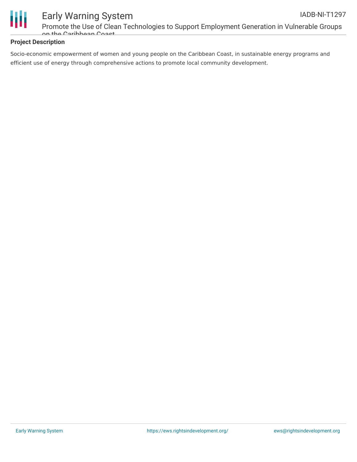

### **Project Description**

Socio-economic empowerment of women and young people on the Caribbean Coast, in sustainable energy programs and efficient use of energy through comprehensive actions to promote local community development.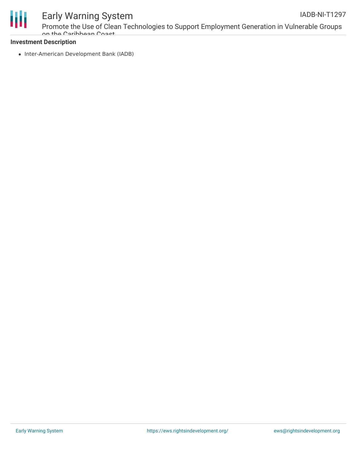

# Early Warning System

Promote the Use of Clean Technologies to Support Employment Generation in Vulnerable Groups on the Caribbean Coast

### **Investment Description**

• Inter-American Development Bank (IADB)